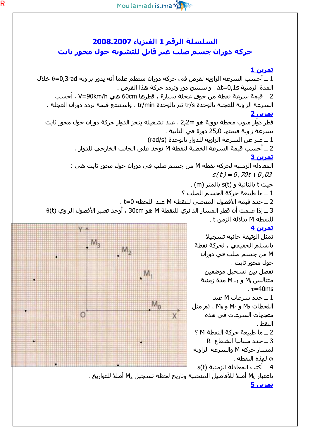## السلسلة الرقم 1 الفيزياء 2008.2007 حركة دوران جسم صلب غير قابل للتشويه حول محور ثابت

اتمرين 1 1 ــ أحسب السرعة الزاوية لقرص في حركة دوران منتظم علما أنه يدور بزاوية θ=0,3rad خلال المدة الزمنية Δt=0,1s . واستنتج دور وتردد حركة هذا القرص . 2 ــ قيمة سـرعة نقطة من حوق عجلة سـيارة ، قطرها 60cm هي V=90km/h . أحسـب السرعة الزاوية للعجلة بالوحدة tr/s ثم بالوحدة tr/min ، واستنتج قيمة تردد دوران العجلة . <u>تمرين 2</u> قطر دوّار منوب محطة نووية هو 2,2m . عند تشغيله ينجز الدوار حركة دوران حول محور ثابت بسرعة زاوية قيمتها 25٫0 دورة في الثانية . 1 ــ عبر عن السرعة الزاوية للدوار بالوحدة (rad/s) 2 ــ أحسب قيمة السرعة الخطية لنقطة M توجد على الجانب الخارجي للدوار . تمرين 3 المعادلة الزمنية لحركة نقطة M من جسم صلب في دوران حول محور ثابت هي :  $s(t) = 0,70t + 0,03$ . (m) حيث t بالثانية و s(t) بالمتر 1 ـ ما طبيعة حركة الحسم الصلب ؟ 2 ــ حدد قيمة الأفصول المنحني للنقطة M عند اللحظة t=0 .  $\theta$ (t) ـ إذا علمت أن قطر المسار الدائري للنقطة M هو 30cm ، أوجد تعبير الأفصول الزاوي  $\pm$ للنقطة M بدلالة الزمن t . تمرين 4 تمثل الوثيقة جانبه تسحيلا  $M_{2}$ بالسلم الحقيقي ، لحركة نقطة  $M_{2}$ M من جسم صلب في دوران حول محور ثابت . تفصل بين تسجيل موضعين  $M$ متتاليين M<sub>i</sub> و M<sub>i+1</sub> مدة زمنية  $\tau$ =40ms 1 ـ حدد سرعات M عند  $M_{\odot}$ اللحظات M<sub>4</sub> و M<sub>4</sub> و M<sub>6</sub> ، ثم مثل Ö  $\times$ متجهات السرعات في هذه النقط . 2 ــ ما طبيعة حركة النقطة M ؟ 3 ـ حدد مبيانيا الشعاع R لمسار حركة M والسرعة الزاوية ω لهذه النقطة . 4 ــ أكتب المعادلة الزمنية (s(t باعتبار M<sub>0</sub> أصلا للأفاصيل المنحنية وتاريخ لحظة تسجيل M<sub>2</sub> أصلا للتواريخ . <u>تمرين 5</u>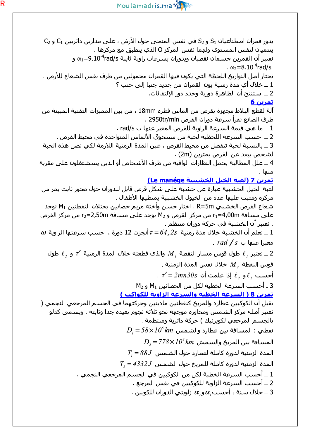

C<sub>2</sub> و S<sub>2</sub> في نفس المنحي حول الأرض ، على مدارين دائريين C<sub>1</sub> و C<sub>2</sub> في نفس المنحي حول الأرض ، على ينتميان لنفس المستوف ولهما نفس المركز O الذي ينطبق مع مركزها . نعتبر أن القمرين جسـمان نقطيان ويدوران بسـرعات زاوية ثابتة 9.10<sup>-4</sup>rad/s و .  $\omega_2 = 8.10^{-4}$ rad/s نختار أصل النواريخ اللحظة التي يكون فيها القمران محمولين من طرف نفس الشعاع للأرض . 1 ــ خلال أي مدة زمنية يون القمران من جديد جنبا إلى حنب ؟ 2 ــ اسـتنتج أن الظاهرة دورية وحدد دور الإلتقائات. تمرين 6 آلة لقطع البلاط مجهزة بقرص من الماس قطره 18mm ، من بين المميزات التقنية المبينة من طرف الصانع نقرأ سـرعة دوران القرص 2950tr/min . 1 ــ ما هي قيمة السرعة الزاوية للقرص المعبر عنها ب rad/s . 2 ــ احسب السرعة اللحظية لحبة من مسحوق الألماس المتواجدة في محيط القرص . 3 ــ بالنسبة لحبة تنفصل من محيط القرص ، عين المدة الزمنية اللازمة لكب تصل هذه الحبة لشخص يبعد عن القرص بمترين (2m) . 4 ــ علل المطالبة بحمل النظارات الواقية من طرف الأشخاص أو الذين يسـشـتغلون علىي مقربة منها . <u>تمرين 7 (لعبة الخيل الخشيبية Le manége)</u> لعبة الخيل الخشبية عبارة عن خشبة على شكل قرص قابل للدوران حول محور ثابت يمر من مركزه ومثبت عليها عدد من الخيول الخشبية يمتطيها الأطفال . شعاع القرص الخشببي R=5m . اختار حسـن وأخته مريم حصانين يحتلان النقطتين M1 توجد على مسافة r1=4,00m من مركز القرص و M2 توجد على مسافة r2=2,50m من مركز القرص . نعتبر أن الخشبة في حركة دوران منتظم .  $\omega$  ــ نعلم أن الخشـبة خلال مدة زمنية  $z$ ر $\tau$ 5 أنجزت 12 دورة ، احسـب سـرعتها الزاوية  $\omega$ .  $rad/s$  معیرا عنها ب ع يعتبر  $\ell$  طول قوس مسار النقطة  $M$  والذي قطعته خلال المدة الزمنية  $\tau'$  و  $\ell$  طول 2 ينا م . قوس النقطة  $M, \;$  خلال نفس المدة الزمنية .  $\tau' = 2mn30s$  أحسب  $\ell$ و  $\ell$  إذا علمت أن  $M_2$  ـ أحسب السرعة الخطية لكل من الحصانين  $M_1$  و  $3$ <u>تمرين 8 ( السرعة الخطية والسرعة الزاوية للكواكب )</u> نقبل أن الكوكبين عطارد والمريخ كنقطتين ماديتين وحركتهما في الجسـم المرجعي النجمي ( نعتبر أصله مركز الشـمس ومحاوره موجـهة نحو ثلاتة نجوم بعيدة جدا وثابتة . ويسـمي كذلو بالجسم المرجعي لكوبرنيك ) حركة دائرية ومنتظمة .  $D_i = 58 \times 10^6$  نعطي : المسافة بين عطارد والشـمس  $D_{\rm s}$ المسـافة بين المريخ والسـمش  $Z^{\prime\prime}$ Xm المسـافة بين المريخ  $T_i = 88J$  المدة الزمنية لدورة كاملة لعطارد حول الشـمس  $T_{\rm c}$  المدة الزمنية لدورة كاملة للمريخ حول الشـمس  $1.5$ 433 – 1 ــ أحسب السرعة الخطية لكل من الكوكبين في الجسم المرجعي النجمي . 2 ــ أحسب السرعة الزاوية للكوكبين في نفس المرجع . . حلال سـنة ، أحسـب $\alpha,$ و $\alpha,$  زاويتي الدوران للكوبين . 3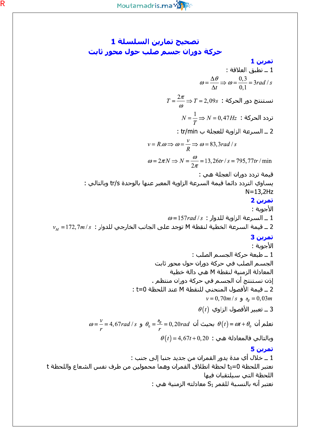تصحيح تمارين السلسلة 1 حركة دوران جسم صلب حول محور ثابت تمرين 1 1 ــ نطبق العلاقة :  $\omega = \frac{\Delta \theta}{\Delta t} \Rightarrow \omega = \frac{0.3}{0.1} = 3rad/s$  $T = \frac{2\pi}{\omega}$ نسـتنتج دور الحركة :  $T = 2,09$   $\Rightarrow$  $N=\frac{1}{T}$ تردد الحركة :  $N=0,47$   $\Rightarrow$ 2 ـ السرعة الزاوية للعجلة ب tr/min :  $v = R.\omega \Longrightarrow \omega = \frac{v}{R} \Longrightarrow \omega = 83,3rad/s$  $\omega = 2\pi N \Rightarrow N = \frac{\omega}{2\pi} = 13,26tr/s = 795,77tr/\text{min}$ قيمة تردد دوران العجلة هي : يساوي التردد دائما قيمة السرعة الزاوية المعبر عنها بالوحدة tr/s وبالتالي :  $N=13,2$ Hz تمرين 2 الأحوية :  $\omega$  ـ السرعة الزاوية للدوار :  $ds$  157 $rad/s$  ـ  $\omega$  $v_M = 172, 7m/s$  : قيمة السرعة الخطية لنقطة M توجد على الجانب الخارجي للدوار = 172,7m/s تمرين 3 الأحوية : 1 ـ طبعة حركة الجسم الصلب : الجسم الصلب في حركة دوران حول محور ثابت المعادلة الزمنية لنقطة M هي دالة خطية إذن نستنتج أن الجسم في حركة دوران منتظم . 2 ــ قيمة الأفصول المنحني للنقطة M عند اللحظة t=0 :  $v = 0,70m/s$  و  $s_0 = 0,03m$  $\theta(t)$  ـ تعبير الأفصول الزاوي  $3$  $\omega = \frac{v}{r} = 4,67$ rad ( $s \neq \theta_0 = \frac{\delta_0}{r} = 0,20$ rad نعلم أن  $\theta(t) = \omega t + \theta_0$  و  $\theta(t)$ =4,67t+0,20 : وبالتالي فالمعادلة هي تمرين 5 1 ــ خلال أي مدة يدور القمران من جديد جنبا إلى جنب : نعتبر اللحظة to=0 لحظة انطلاق القمران وهما محمولين من طرف نفس الشعاع واللحظة t اللحظة التي سيلتقيان فيها نعتبر أنه بالنسبة للقمر S<sub>1</sub> معادلته الزمنية هي :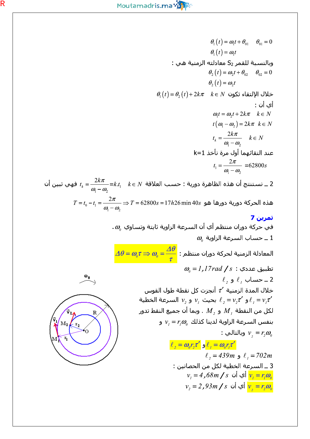$\theta_1(t) = \omega_1 t + \theta_{01} \quad \theta_{01} = 0$  $\theta_{i}(t) = \omega_{i}t$ وبالنسبة للقمر S<sub>2</sub> معادلته الزمنية هي :  $\theta_2(t) = \omega_2 t + \theta_{02}$   $\theta_{02} = 0$  $\theta_2(t) = \omega_2 t$  $\theta_1(t) = \theta_2(t) + 2k\pi$   $k \in N$  خلال الإلتقاء تكون أي أن :  $\omega_t = \omega_1 t + 2k\pi \quad k \in N$  $t(\omega_1-\omega_2)=2k\pi \ \ k\in N$  $t_k = \frac{2k\pi}{\omega - \omega}$   $k \in N$ عند التقائهما أول مرة نأخذ k=1  $t_1 = \frac{2\pi}{\omega - \omega}$  =62800s نستنتج أن هذه الظاهرة دورية : حسب العلاقة  $k\in\mathbb{N}$  = $\frac{2k\pi}{\omega-\omega}$  فهي تبين أن  $1$  $T = t_0 - t_1 = \frac{2\pi}{\omega - \omega} \Rightarrow T = 62800s = 17h26 \text{ min } 40s$  هذه الحركة دورية دورها هو تمرين 7 .  $\omega_{\!\scriptscriptstyle\! g}$  في حركة دوران منتظم أي أن السرعة الزاوية ثابتة وتساوي  $\omega_{\rm e}$  ـ حساب السرعة الزاوية  $1$  $\Delta \theta = \omega_{\scriptscriptstyle{\theta}} \tau \Rightarrow \omega_{\scriptscriptstyle{\theta}} = \frac{\varDelta \theta}{\tau}$  المعادلة الزمنية لحركة دوران منتظم  $\omega_{\scriptscriptstyle{\theta}}$  تطبيق عددي :  $\log\,17$ ر  $\mathbf{a}_{\mathbf{0}}$  $\ell$ , حساب  $\ell$ , و  $\ell$ خلال المدة الزمنية  $\tau'$  أنجزت كل نقطة طول القوس و  $v, z'$  بحيث  $v_1$  و  $v_2$  بحيث  $\ell_1 = v, z'$  و  $\ell_1 = v, z'$ لكل من النقطة  $M_{\perp}$  و  $M_{\perp}$  . وبما أن جميع النقط تدور بنفس السرعة الزاوية لدينا كذلك  $v_i = r_i \omega$  و M, : وبالتالي  $v_{\scriptscriptstyle a} = r_{\scriptscriptstyle a} \omega_{\scriptscriptstyle a}$  $\ell_2 = \omega_0 r_2 \tau'$  و  $\ell_1 = \omega_0 r_i \tau'$  $\ell$ , = 439m و 439m  $\ell$ , = 702m 3 ــ السـرعة الخطية لكل من الحصانين :  $v_i = 4$  أي أن  $s \int s \sin \sqrt{s}$ ,  $v_j = r_i \omega_0$  $v_{0} = 2$  أي أن  $s \int s \int v_{0} = r_{2} \omega_{0}$